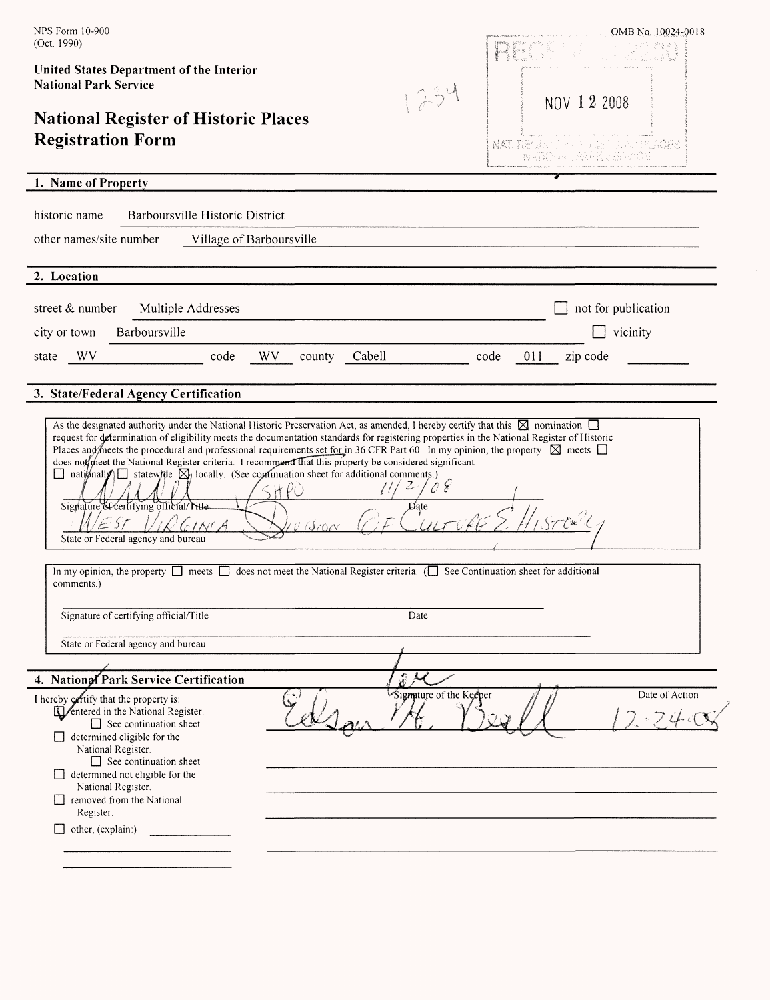| NPS Form 10-900<br>(Oct. 1990)                                                                                                                                                                                                                                                                                                                                                                                                                                                                                                                                                                                                                                                                                                                                                                  | OMB No. 10024-0018            |  |  |
|-------------------------------------------------------------------------------------------------------------------------------------------------------------------------------------------------------------------------------------------------------------------------------------------------------------------------------------------------------------------------------------------------------------------------------------------------------------------------------------------------------------------------------------------------------------------------------------------------------------------------------------------------------------------------------------------------------------------------------------------------------------------------------------------------|-------------------------------|--|--|
| United States Department of the Interior<br><b>National Park Service</b><br>234                                                                                                                                                                                                                                                                                                                                                                                                                                                                                                                                                                                                                                                                                                                 | NOV 1 2 2008                  |  |  |
| <b>National Register of Historic Places</b><br><b>Registration Form</b>                                                                                                                                                                                                                                                                                                                                                                                                                                                                                                                                                                                                                                                                                                                         | NAT REGEUR DE DESSELE CULCIOS |  |  |
|                                                                                                                                                                                                                                                                                                                                                                                                                                                                                                                                                                                                                                                                                                                                                                                                 | NATIONAL EARN SER             |  |  |
| 1. Name of Property                                                                                                                                                                                                                                                                                                                                                                                                                                                                                                                                                                                                                                                                                                                                                                             |                               |  |  |
| historic name<br>Barboursville Historic District                                                                                                                                                                                                                                                                                                                                                                                                                                                                                                                                                                                                                                                                                                                                                |                               |  |  |
| other names/site number<br>Village of Barboursville                                                                                                                                                                                                                                                                                                                                                                                                                                                                                                                                                                                                                                                                                                                                             |                               |  |  |
|                                                                                                                                                                                                                                                                                                                                                                                                                                                                                                                                                                                                                                                                                                                                                                                                 |                               |  |  |
| 2. Location                                                                                                                                                                                                                                                                                                                                                                                                                                                                                                                                                                                                                                                                                                                                                                                     |                               |  |  |
| street $&$ number<br>Multiple Addresses                                                                                                                                                                                                                                                                                                                                                                                                                                                                                                                                                                                                                                                                                                                                                         | not for publication           |  |  |
| Barboursville<br>city or town                                                                                                                                                                                                                                                                                                                                                                                                                                                                                                                                                                                                                                                                                                                                                                   | vicinity                      |  |  |
| WV<br>Cabell<br>code<br>WV -<br>state<br>county                                                                                                                                                                                                                                                                                                                                                                                                                                                                                                                                                                                                                                                                                                                                                 | 011<br>zip code<br>code       |  |  |
| 3. State/Federal Agency Certification                                                                                                                                                                                                                                                                                                                                                                                                                                                                                                                                                                                                                                                                                                                                                           |                               |  |  |
|                                                                                                                                                                                                                                                                                                                                                                                                                                                                                                                                                                                                                                                                                                                                                                                                 |                               |  |  |
| As the designated authority under the National Historic Preservation Act, as amended, I hereby certify that this $\boxtimes$ nomination $\Box$<br>request for determination of eligibility meets the documentation standards for registering properties in the National Register of Historic<br>Places and meets the procedural and professional requirements set for in 36 CFR Part 60. In my opinion, the property $\boxtimes$ meets $\Box$<br>does not the National Register criteria. I recommend that this property be considered significant<br>$\Box$ nationally $\Box$ statewide $\boxtimes$ locally. (See continuation sheet for additional comments.)<br>HPO<br>Signature of certifying official/Title_<br>Date<br>ID GINIA<br>$\mathcal{E}$ ST<br>State or Federal agency and bureau |                               |  |  |
| In my opinion, the property $\Box$ meets $\Box$ does not meet the National Register criteria. $(\Box$ See Continuation sheet for additional<br>comments.)                                                                                                                                                                                                                                                                                                                                                                                                                                                                                                                                                                                                                                       |                               |  |  |
| Signature of certifying official/Title<br>Date                                                                                                                                                                                                                                                                                                                                                                                                                                                                                                                                                                                                                                                                                                                                                  |                               |  |  |
| State or Federal agency and bureau                                                                                                                                                                                                                                                                                                                                                                                                                                                                                                                                                                                                                                                                                                                                                              |                               |  |  |
|                                                                                                                                                                                                                                                                                                                                                                                                                                                                                                                                                                                                                                                                                                                                                                                                 |                               |  |  |
| 4. National Park Service Certification<br>Signature of the Keeper<br>I hereby certify that the property is:<br><b>ID</b> entered in the National Register.<br>$\Box$ See continuation sheet<br>$\Box$ determined eligible for the<br>National Register.<br>$\Box$ See continuation sheet<br>$\Box$ determined not eligible for the<br>National Register.<br>$\Box$ removed from the National<br>Register.<br>other, (explain:)<br>$\mathbf{1}$                                                                                                                                                                                                                                                                                                                                                  | Date of Action                |  |  |
|                                                                                                                                                                                                                                                                                                                                                                                                                                                                                                                                                                                                                                                                                                                                                                                                 |                               |  |  |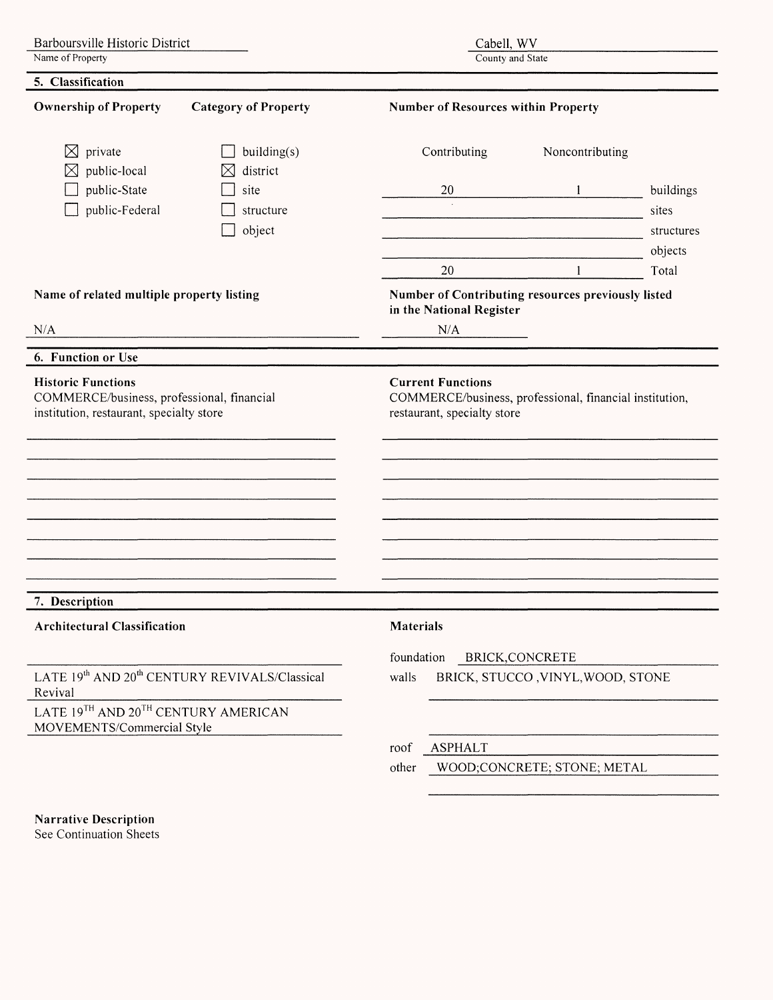Barboursville Historic District Name of Property

Cabell, WV

County and State

| <b>Ownership of Property</b><br><b>Category of Property</b>                                                         |                                               | <b>Number of Resources within Property</b>                                                                         |                                   |            |  |
|---------------------------------------------------------------------------------------------------------------------|-----------------------------------------------|--------------------------------------------------------------------------------------------------------------------|-----------------------------------|------------|--|
| private<br>$\boxtimes$<br>public-local                                                                              | building(s)<br>district<br>$\boxtimes$        | Contributing                                                                                                       | Noncontributing                   |            |  |
| public-State                                                                                                        | site                                          | 20                                                                                                                 |                                   | buildings  |  |
| public-Federal                                                                                                      | structure                                     | $\sim$                                                                                                             |                                   | sites      |  |
|                                                                                                                     | object                                        |                                                                                                                    |                                   | structures |  |
|                                                                                                                     |                                               |                                                                                                                    |                                   | objects    |  |
|                                                                                                                     |                                               | 20                                                                                                                 | $\mathbf{1}$                      | Total      |  |
| Name of related multiple property listing                                                                           |                                               | Number of Contributing resources previously listed<br>in the National Register                                     |                                   |            |  |
| N/A                                                                                                                 |                                               | N/A                                                                                                                |                                   |            |  |
| 6. Function or Use                                                                                                  |                                               |                                                                                                                    |                                   |            |  |
| <b>Historic Functions</b><br>COMMERCE/business, professional, financial<br>institution, restaurant, specialty store |                                               | <b>Current Functions</b><br>COMMERCE/business, professional, financial institution,<br>restaurant, specialty store |                                   |            |  |
| 7. Description<br><b>Architectural Classification</b>                                                               |                                               | Materials                                                                                                          |                                   |            |  |
|                                                                                                                     |                                               | foundation BRICK, CONCRETE                                                                                         |                                   |            |  |
| Revival                                                                                                             | LATE 19th AND 20th CENTURY REVIVALS/Classical | walls                                                                                                              | BRICK, STUCCO, VINYL, WOOD, STONE |            |  |
| LATE 19TH AND 20TH CENTURY AMERICAN<br>MOVEMENTS/Commercial Style                                                   |                                               |                                                                                                                    |                                   |            |  |
|                                                                                                                     |                                               | <b>ASPHALT</b><br>roof                                                                                             |                                   |            |  |
|                                                                                                                     |                                               | other                                                                                                              | WOOD;CONCRETE; STONE; METAL       |            |  |
|                                                                                                                     |                                               |                                                                                                                    |                                   |            |  |
| <b>Narrative Description</b>                                                                                        |                                               |                                                                                                                    |                                   |            |  |

See Continuation Sheets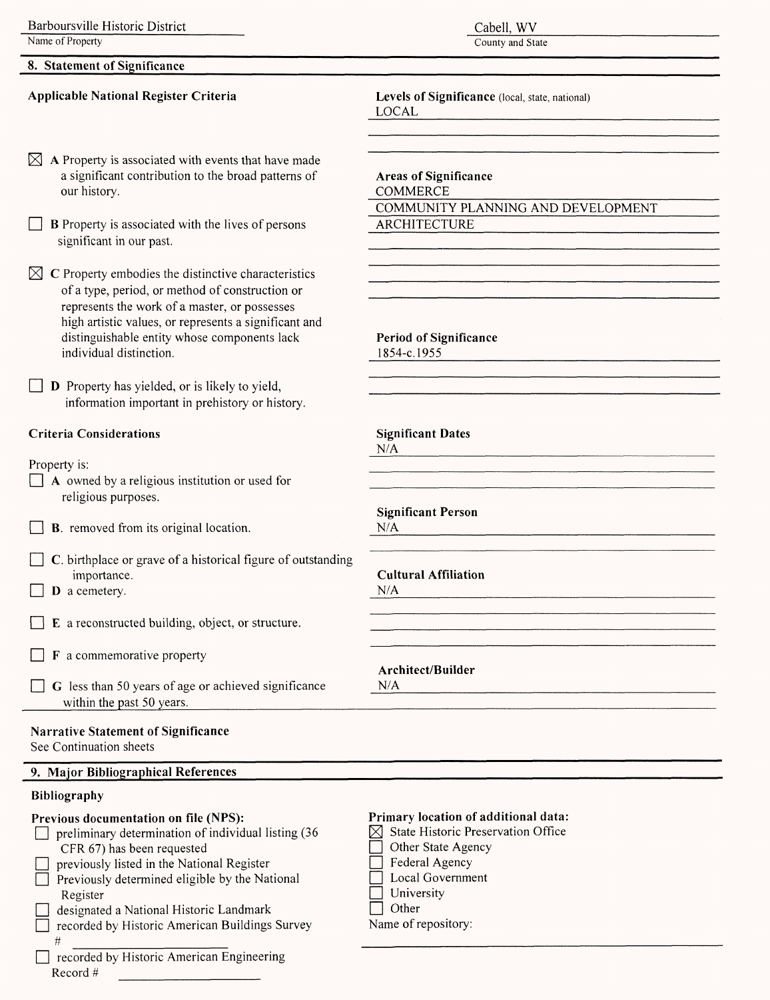### **8. Statement of Significance**

### **Applicable National Register Criteria**

 $\boxtimes$  A Property is associated with events that have made a significant contribution to the broad patterns of our history.

 $\Box$  **B** Property is associated with the lives of persons significant in our past.

 $\boxtimes$  C Property embodies the distinctive characteristics of a type, period, or method of construction or represents the work of a master, or possesses high artistic values, or represents a significant and distinguishable entity whose components lack individual distinction.

 $\Box$  **D** Property has yielded, or is likely to yield, information important in prehistory or history.

### **Criteria Considerations**

Property is:

- $\Box$  A owned by a religious institution or used for religious purposes.
- $\Box$  **B**. removed from its original location.
- $\Box$  C. birthplace or grave of a historical figure of outstanding importance.
- $\Box$  **D** a cemetery.
- E a reconstructed building, object, or structure.
- $\Box$  **F** a commemorative property
- $\Box$  G less than 50 years of age or achieved significance within the past 50 years.

### **Narrative Statement of Significance** See Continuation sheets

**9. Major Bibliographical References**

### **Bibliography**

#

### **Previous documentation on file** (NPS):

- $\Box$  preliminary determination of individual listing (36) CFR 67) has been requested
- $\Box$  previously listed in the National Register  $\Box$  Previously determined eligible by the National
- Register | designated a National Historic Landmark
- $\Box$  recorded by Historic American Buildings Survey

recorded by Historic American Engineering Record #

### Cabell. WV

County and State

**Levels of Significance** (local, state, national) LOCAL 

**Areas of Significance COMMERCE** COMMUNITY PLANNING AND DEVELOPMENT ARCHITECTURE

**N/A**

**Period of Significance** 1854-c.1955

**Significant Dates N/A**

**Significant Person**

**N/A**

**Cultural Affiliation**

**Architect/Builder**

**N/A**

### **Primary location of additional data:**

- $[\times]$  State Historic Preservation Office
- Other State Agency
- $\Box$  Federal Agency
- [~1 Local Government
- $\Box$  University
- $\Box$  Other

Name of repository: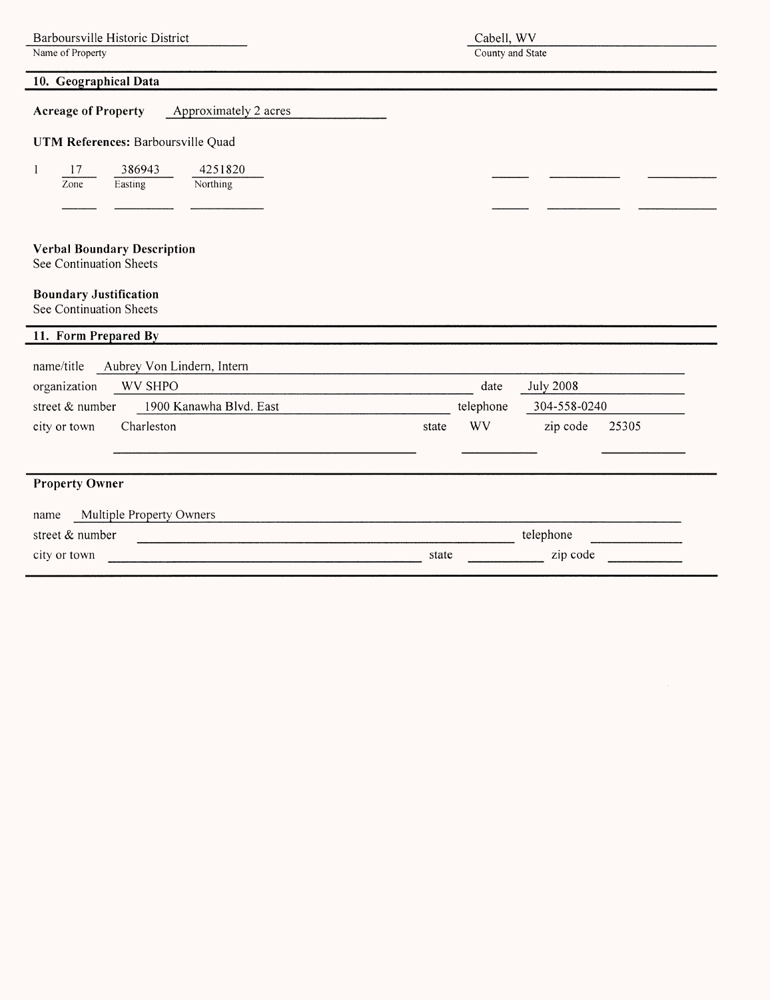| Cabell, WV       |
|------------------|
| County and State |

| 10. Geographical Data                                         |       |           |                  |       |
|---------------------------------------------------------------|-------|-----------|------------------|-------|
| <b>Acreage of Property</b><br>Approximately 2 acres           |       |           |                  |       |
| UTM References: Barboursville Quad                            |       |           |                  |       |
| 386943<br>4251820<br>17<br>1<br>Zone<br>Easting<br>Northing   |       |           |                  |       |
|                                                               |       |           |                  |       |
| <b>Verbal Boundary Description</b><br>See Continuation Sheets |       |           |                  |       |
| <b>Boundary Justification</b><br>See Continuation Sheets      |       |           |                  |       |
| 11. Form Prepared By                                          |       |           |                  |       |
| name/title<br>Aubrey Von Lindern, Intern                      |       |           |                  |       |
| <b>WV SHPO</b><br>organization                                |       | date      | <b>July 2008</b> |       |
| 1900 Kanawha Blvd. East<br>street & number                    |       | telephone | 304-558-0240     |       |
| Charleston<br>city or town                                    | state | WV        | zip code         | 25305 |
| <b>Property Owner</b>                                         |       |           |                  |       |
| Multiple Property Owners<br>name                              |       |           |                  |       |
| street & number                                               |       |           | telephone        |       |
| city or town                                                  | state |           | zip code         |       |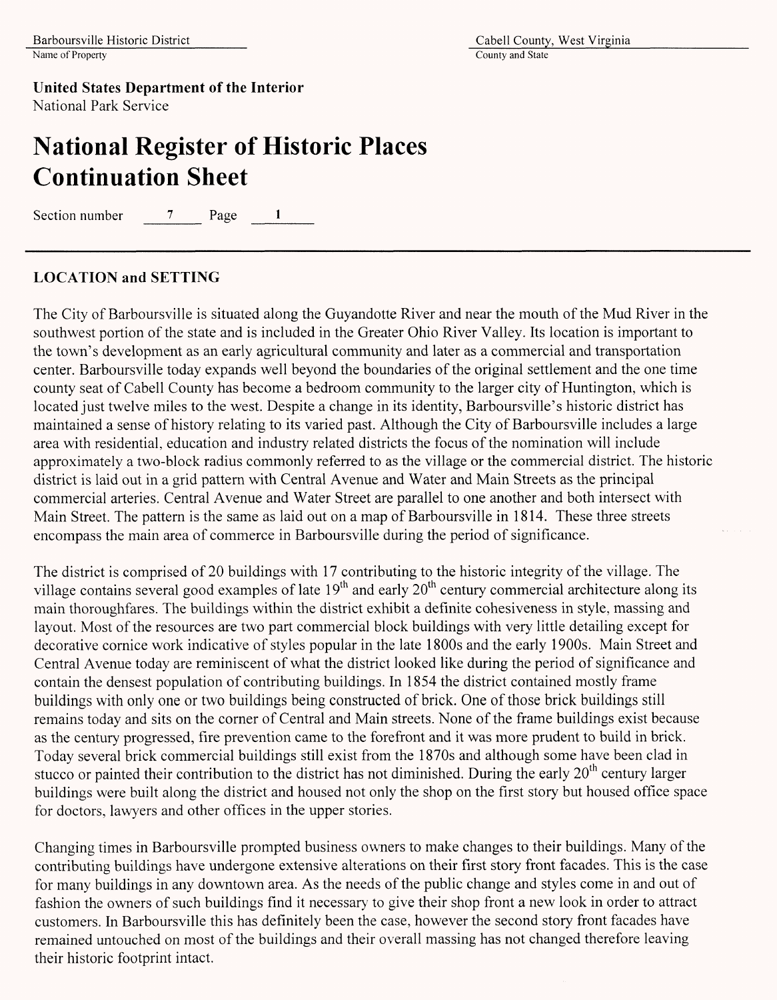# **National Register of Historic Places Continuation Sheet**

Section number 7 Page 1

### **LOCATION and SETTING**

The City of Barboursville is situated along the Guyandotte River and near the mouth of the Mud River in the southwest portion of the state and is included in the Greater Ohio River Valley. Its location is important to the town's development as an early agricultural community and later as a commercial and transportation center. Barboursville today expands well beyond the boundaries of the original settlement and the one time county seat of Cabell County has become a bedroom community to the larger city of Huntington, which is located just twelve miles to the west. Despite a change in its identity, Barboursville's historic district has maintained a sense of history relating to its varied past. Although the City of Barboursville includes a large area with residential, education and industry related districts the focus of the nomination will include approximately a two-block radius commonly referred to as the village or the commercial district. The historic district is laid out in a grid pattern with Central Avenue and Water and Main Streets as the principal commercial arteries. Central Avenue and Water Street are parallel to one another and both intersect with Main Street. The pattern is the same as laid out on a map of Barboursville in 1814. These three streets encompass the main area of commerce in Barboursville during the period of significance.

The district is comprised of 20 buildings with 17 contributing to the historic integrity of the village. The village contains several good examples of late  $19<sup>th</sup>$  and early  $20<sup>th</sup>$  century commercial architecture along its main thoroughfares. The buildings within the district exhibit a definite cohesiveness in style, massing and layout. Most of the resources are two part commercial block buildings with very little detailing except for decorative cornice work indicative of styles popular in the late 1800s and the early 1900s. Main Street and Central Avenue today are reminiscent of what the district looked like during the period of significance and contain the densest population of contributing buildings. In 1854 the district contained mostly frame buildings with only one or two buildings being constructed of brick. One of those brick buildings still remains today and sits on the corner of Central and Main streets. None of the frame buildings exist because as the century progressed, fire prevention came to the forefront and it was more prudent to build in brick. Today several brick commercial buildings still exist from the 1870s and although some have been clad in stucco or painted their contribution to the district has not diminished. During the early 20<sup>th</sup> century larger buildings were built along the district and housed not only the shop on the first story but housed office space for doctors, lawyers and other offices in the upper stories.

Changing times in Barboursville prompted business owners to make changes to their buildings. Many of the contributing buildings have undergone extensive alterations on their first story front facades. This is the case for many buildings in any downtown area. As the needs of the public change and styles come in and out of fashion the owners of such buildings find it necessary to give their shop front a new look in order to attract customers. In Barboursville this has definitely been the case, however the second story front facades have remained untouched on most of the buildings and their overall massing has not changed therefore leaving their historic footprint intact.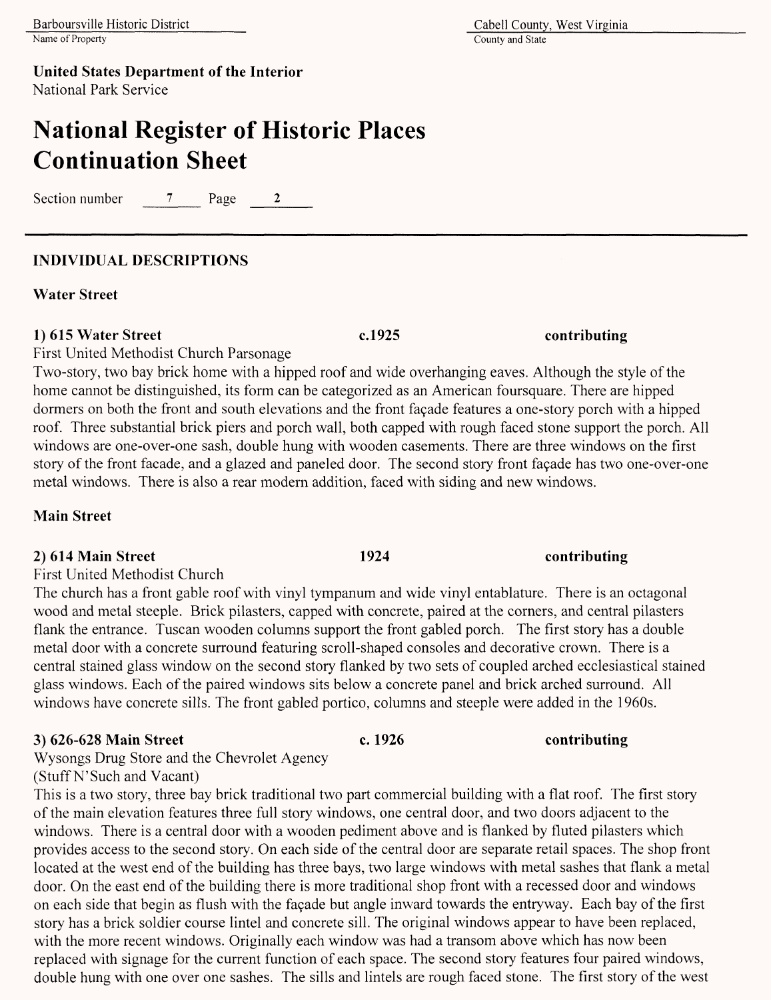County and State

**United States Department of the Interior** National Park Service

# **National Register of Historic Places Continuation Sheet**

Section number 7 Page 2

## **INDIVIDUAL DESCRIPTIONS**

**Water Street**

### **1) 615 Water Street c.1925 contributing**

First United Methodist Church Parsonage

Two-story, two bay brick home with a hipped roof and wide overhanging eaves. Although the style of the home cannot be distinguished, its form can be categorized as an American foursquare. There are hipped dormers on both the front and south elevations and the front façade features a one-story porch with a hipped roof. Three substantial brick piers and porch wall, both capped with rough faced stone support the porch. All windows are one-over-one sash, double hung with wooden casements. There are three windows on the first story of the front facade, and a glazed and paneled door. The second story front façade has two one-over-one metal windows. There is also a rear modern addition, faced with siding and new windows.

## **Main Street**

### **2) 614 Main Street 1924 contributing**

First United Methodist Church

The church has a front gable roof with vinyl tympanum and wide vinyl entablature. There is an octagonal wood and metal steeple. Brick pilasters, capped with concrete, paired at the corners, and central pilasters flank the entrance. Tuscan wooden columns support the front gabled porch. The first story has a double metal door with a concrete surround featuring scroll-shaped consoles and decorative crown. There is a central stained glass window on the second story flanked by two sets of coupled arched ecclesiastical stained glass windows. Each of the paired windows sits below a concrete panel and brick arched surround. All windows have concrete sills. The front gabled portico, columns and steeple were added in the 1960s.

## **3) 626-628 Main Street c. 1926 contributing**

Wysongs Drug Store and the Chevrolet Agency (Stuff N'Such and Vacant)

This is a two story, three bay brick traditional two part commercial building with a flat roof. The first story of the main elevation features three full story windows, one central door, and two doors adjacent to the windows. There is a central door with a wooden pediment above and is flanked by fluted pilasters which provides access to the second story. On each side of the central door are separate retail spaces. The shop front located at the west end of the building has three bays, two large windows with metal sashes that flank a metal door. On the east end of the building there is more traditional shop front with a recessed door and windows on each side that begin as flush with the *facade* but angle inward towards the entryway. Each bay of the first story has a brick soldier course lintel and concrete sill. The original windows appear to have been replaced, with the more recent windows. Originally each window was had a transom above which has now been replaced with signage for the current function of each space. The second story features four paired windows, double hung with one over one sashes. The sills and lintels are rough faced stone. The first story of the west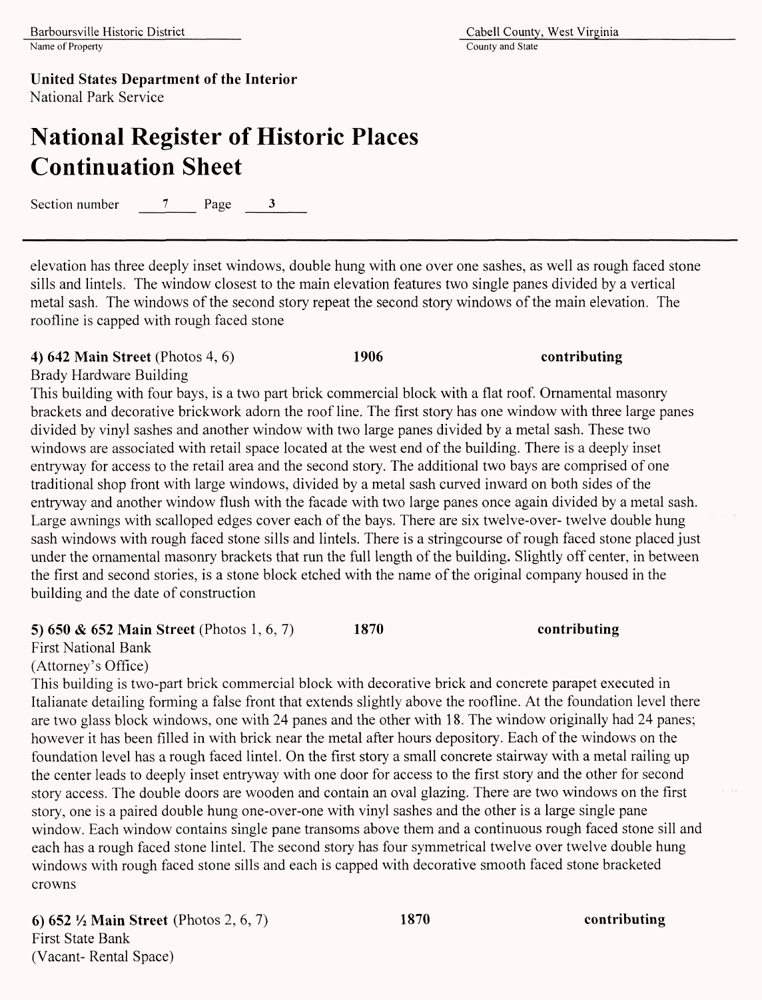# **National Register of Historic Places Continuation Sheet**

Section number  $\overline{7}$  Page 3

elevation has three deeply inset windows, double hung with one over one sashes, as well as rough faced stone sills and lintels. The window closest to the main elevation features two single panes divided by a vertical metal sash. The windows of the second story repeat the second story windows of the main elevation. The roofline is capped with rough faced stone

### **4) 642 Main Street** (Photos 4, 6) **1906 contributing**

Brady Hardware Building

This building with four bays, is a two part brick commercial block with a flat roof. Ornamental masonry brackets and decorative brickwork adorn the roof line. The first story has one window with three large panes divided by vinyl sashes and another window with two large panes divided by a metal sash. These two windows are associated with retail space located at the west end of the building. There is a deeply inset entryway for access to the retail area and the second story. The additional two bays are comprised of one traditional shop front with large windows, divided by a metal sash curved inward on both sides of the entryway and another window flush with the facade with two large panes once again divided by a metal sash. Large awnings with scalloped edges cover each of the bays. There are six twelve-over- twelve double hung sash windows with rough faced stone sills and lintels. There is a stringcourse of rough faced stone placed just under the ornamental masonry brackets that run the full length of the building. Slightly off center, in between the first and second stories, is a stone block etched with the name of the original company housed in the building and the date of construction

## **5) 650** *&* **652 Main Street** (Photos 1,6,7) 1870 **contributing**

First National Bank

(Attorney's Office)

This building is two-part brick commercial block with decorative brick and concrete parapet executed in Italianate detailing forming a false front that extends slightly above the roofline. At the foundation level there are two glass block windows, one with 24 panes and the other with 18. The window originally had 24 panes; however it has been filled in with brick near the metal after hours depository. Each of the windows on the foundation level has a rough faced lintel. On the first story a small concrete stairway with a metal railing up the center leads to deeply inset entryway with one door for access to the first story and the other for second story access. The double doors are wooden and contain an oval glazing. There are two windows on the first story, one is a paired double hung one-over-one with vinyl sashes and the other is a large single pane window. Each window contains single pane transoms above them and a continuous rough faced stone sill and each has a rough faced stone lintel. The second story has four symmetrical twelve over twelve double hung windows with rough faced stone sills and each is capped with decorative smooth faced stone bracketed crowns

**6) 652** *1A* **Main Street** (Photos 2, 6, 7) **1870 contributing** First State Bank (Vacant- Rental Space)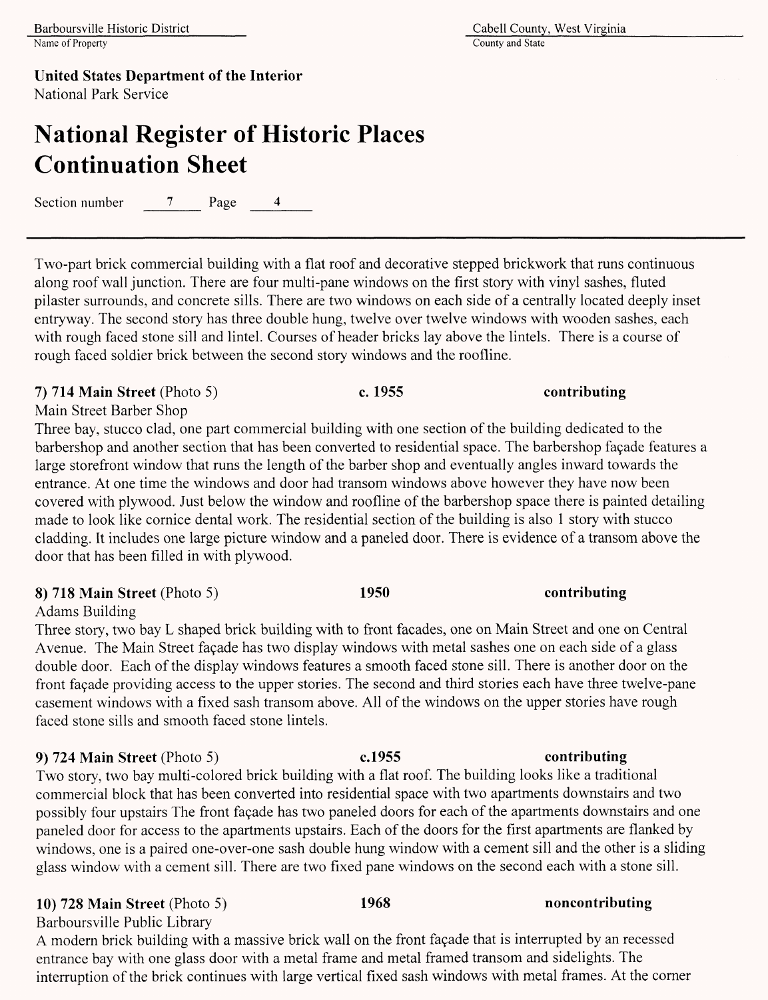County and State

**United States Department of the Interior** National Park Service

# **National Register of Historic Places Continuation Sheet**

Section number 7 Page 4

Two-part brick commercial building with a flat roof and decorative stepped brickwork that runs continuous along roof wall junction. There are four multi-pane windows on the first story with vinyl sashes, fluted pilaster surrounds, and concrete sills. There are two windows on each side of a centrally located deeply inset entryway. The second story has three double hung, twelve over twelve windows with wooden sashes, each with rough faced stone sill and lintel. Courses of header bricks lay above the lintels. There is a course of rough faced soldier brick between the second story windows and the roofline.

**7) 714 Main Street** (Photo 5) **c. 1955 contributing**

Main Street Barber Shop

Three bay, stucco clad, one part commercial building with one section of the building dedicated to the barbershop and another section that has been converted to residential space. The barbershop façade features a large storefront window that runs the length of the barber shop and eventually angles inward towards the entrance. At one time the windows and door had transom windows above however they have now been covered with plywood. Just below the window and roofline of the barbershop space there is painted detailing made to look like cornice dental work. The residential section of the building is also 1 story with stucco cladding. It includes one large picture window and a paneled door. There is evidence of a transom above the door that has been filled in with plywood.

## **8) 718 Main Street** (Photo 5) **1950 contributing**

Adams Building

Three story, two bay L shaped brick building with to front facades, one on Main Street and one on Central Avenue. The Main Street facade has two display windows with metal sashes one on each side of a glass double door. Each of the display windows features a smooth faced stone sill. There is another door on the front façade providing access to the upper stories. The second and third stories each have three twelve-pane casement windows with a fixed sash transom above. All of the windows on the upper stories have rough faced stone sills and smooth faced stone lintels.

## **9)** 724 **Main Street** (Photo 5) **c.1955 contributing**

Two story, two bay multi-colored brick building with a flat roof. The building looks like a traditional commercial block that has been converted into residential space with two apartments downstairs and two possibly four upstairs The front façade has two paneled doors for each of the apartments downstairs and one paneled door for access to the apartments upstairs. Each of the doors for the first apartments are flanked by windows, one is a paired one-over-one sash double hung window with a cement sill and the other is a sliding glass window with a cement sill. There are two fixed pane windows on the second each with a stone sill.

## **10) 728 Main Street** (Photo 5) **1968 noncontributing**

Barboursville Public Library

A modern brick building with a massive brick wall on the front façade that is interrupted by an recessed entrance bay with one glass door with a metal frame and metal framed transom and sidelights. The interruption of the brick continues with large vertical fixed sash windows with metal frames. At the corner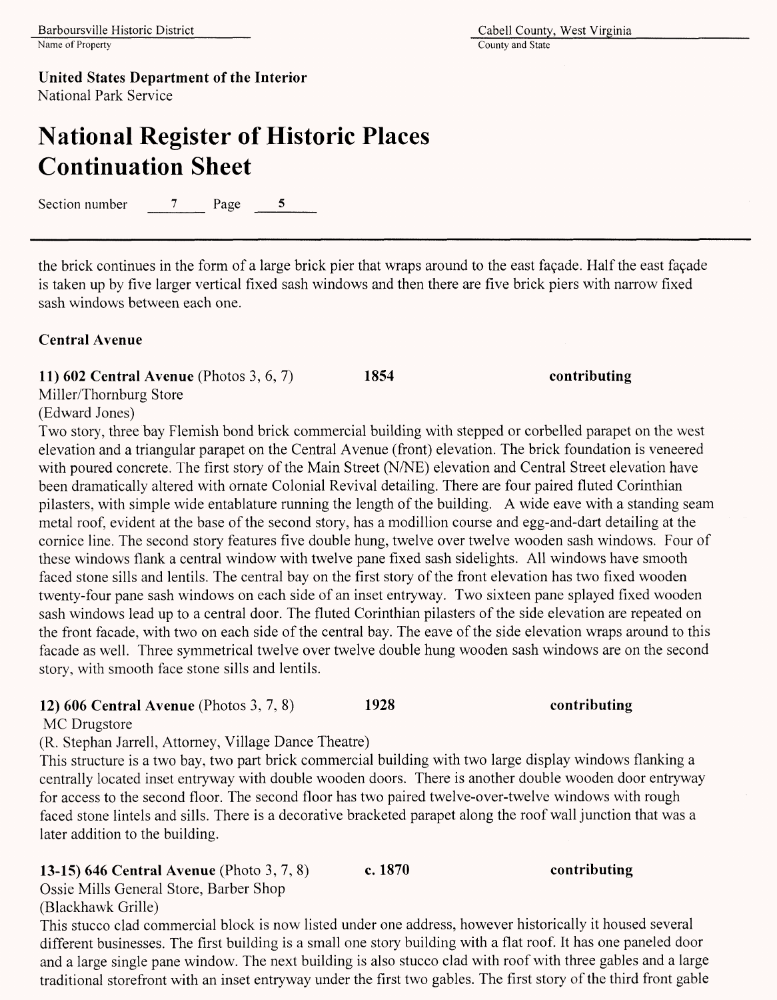County and State

**United States Department of the Interior** National Park Service

## **National Register of Historic Places Continuation Sheet**

Section number 7 Page 5

the brick continues in the form of a large brick pier that wraps around to the east façade. Half the east façade is taken up by five larger vertical fixed sash windows and then there are five brick piers with narrow fixed sash windows between each one.

### **Central Avenue**

**11) 602 Central** Avenue (Photos 3,6,7) **1854 contributing**

Miller/Thornburg Store

(Edward Jones)

Two story, three bay Flemish bond brick commercial building with stepped or corbelled parapet on the west elevation and a triangular parapet on the Central Avenue (front) elevation. The brick foundation is veneered with poured concrete. The first story of the Main Street (N/NE) elevation and Central Street elevation have been dramatically altered with ornate Colonial Revival detailing. There are four paired fluted Corinthian pilasters, with simple wide entablature running the length of the building. A wide eave with a standing seam metal roof, evident at the base of the second story, has a modillion course and egg-and-dart detailing at the cornice line. The second story features five double hung, twelve over twelve wooden sash windows. Four of these windows flank a central window with twelve pane fixed sash sidelights. All windows have smooth faced stone sills and lentils. The central bay on the first story of the front elevation has two fixed wooden twenty-four pane sash windows on each side of an inset entryway. Two sixteen pane splayed fixed wooden sash windows lead up to a central door. The fluted Corinthian pilasters of the side elevation are repeated on the front facade, with two on each side of the central bay. The eave of the side elevation wraps around to this facade as well. Three symmetrical twelve over twelve double hung wooden sash windows are on the second story, with smooth face stone sills and lentils.

### **12) 606 Central Avenue** (Photos 3,7, 8) **1928 contributing**

MC Drugstore

(R. Stephan Jarrell, Attorney, Village Dance Theatre)

This structure is a two bay, two part brick commercial building with two large display windows flanking a centrally located inset entryway with double wooden doors. There is another double wooden door entryway for access to the second floor. The second floor has two paired twelve-over-twelve windows with rough faced stone lintels and sills. There is a decorative bracketed parapet along the roof wall junction that was a later addition to the building.

### **13-15) 646 Central Avenue** (Photo 3,7,8) **c. 1870 contributing**

Ossie Mills General Store, Barber Shop

(Blackhawk Grille)

This stucco clad commercial block is now listed under one address, however historically it housed several different businesses. The first building is a small one story building with a flat roof. It has one paneled door and a large single pane window. The next building is also stucco clad with roof with three gables and a large traditional storefront with an inset entryway under the first two gables. The first story of the third front gable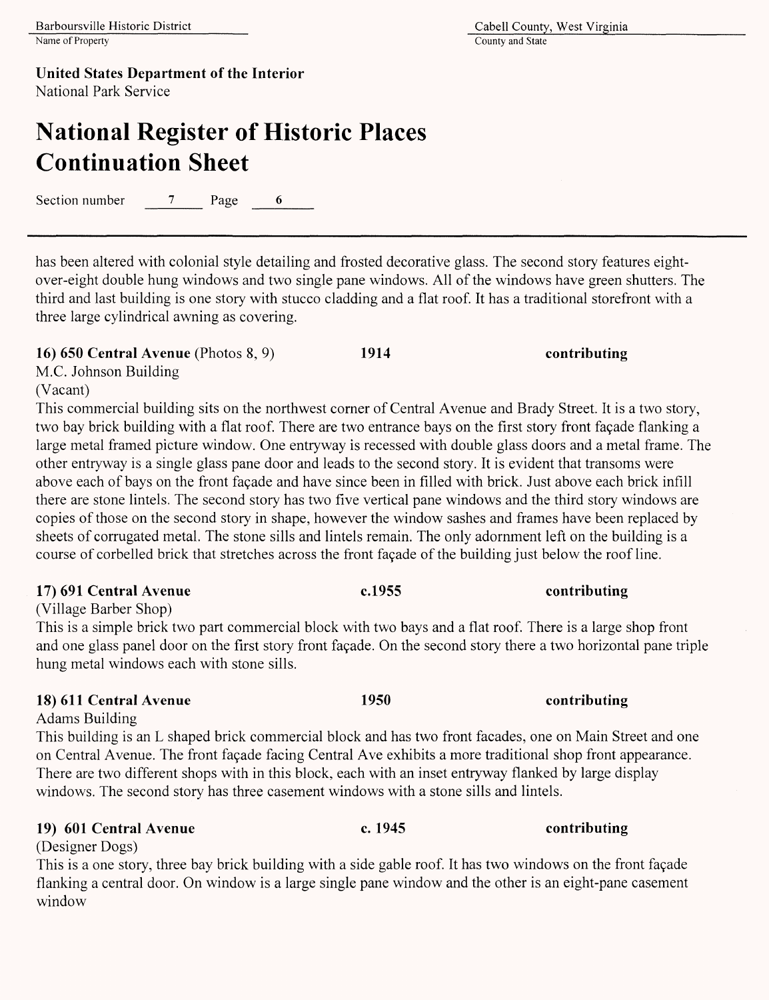# **National Register of Historic Places Continuation Sheet**

Section number 7 Page 6

has been altered with colonial style detailing and frosted decorative glass. The second story features eightover-eight double hung windows and two single pane windows. All of the windows have green shutters. The third and last building is one story with stucco cladding and a flat roof. It has a traditional storefront with a three large cylindrical awning as covering.

### **16) 650 Central Avenue** (Photos 8,9) **1914 contributing**

M.C. Johnson Building

(Vacant)

This commercial building sits on the northwest corner of Central Avenue and Brady Street. It is a two story, two bay brick building with a flat roof. There are two entrance bays on the first story front fagade flanking a large metal framed picture window. One entryway is recessed with double glass doors and a metal frame. The other entryway is a single glass pane door and leads to the second story. It is evident that transoms were above each of bays on the front fagade and have since been in filled with brick. Just above each brick infill there are stone lintels. The second story has two five vertical pane windows and the third story windows are copies of those on the second story in shape, however the window sashes and frames have been replaced by sheets of corrugated metal. The stone sills and lintels remain. The only adornment left on the building is a course of corbelled brick that stretches across the front façade of the building just below the roof line.

### 17) **691 Central Avenue c.1955 contributing**

(Village Barber Shop)

This is a simple brick two part commercial block with two bays and a flat roof. There is a large shop front and one glass panel door on the first story front fagade. On the second story there a two horizontal pane triple hung metal windows each with stone sills.

### **18) 611 Central Avenue 1950 contributing**

Adams Building This building is an L shaped brick commercial block and has two front facades, one on Main Street and one on Central Avenue. The front fagade facing Central Ave exhibits a more traditional shop front appearance. There are two different shops with in this block, each with an inset entryway flanked by large display windows. The second story has three casement windows with a stone sills and lintels.

### **19) 601 Central Avenue c. 1945 contributing**

(Designer Dogs) This is a one story, three bay brick building with a side gable roof. It has two windows on the front fagade flanking a central door. On window is a large single pane window and the other is an eight-pane casement window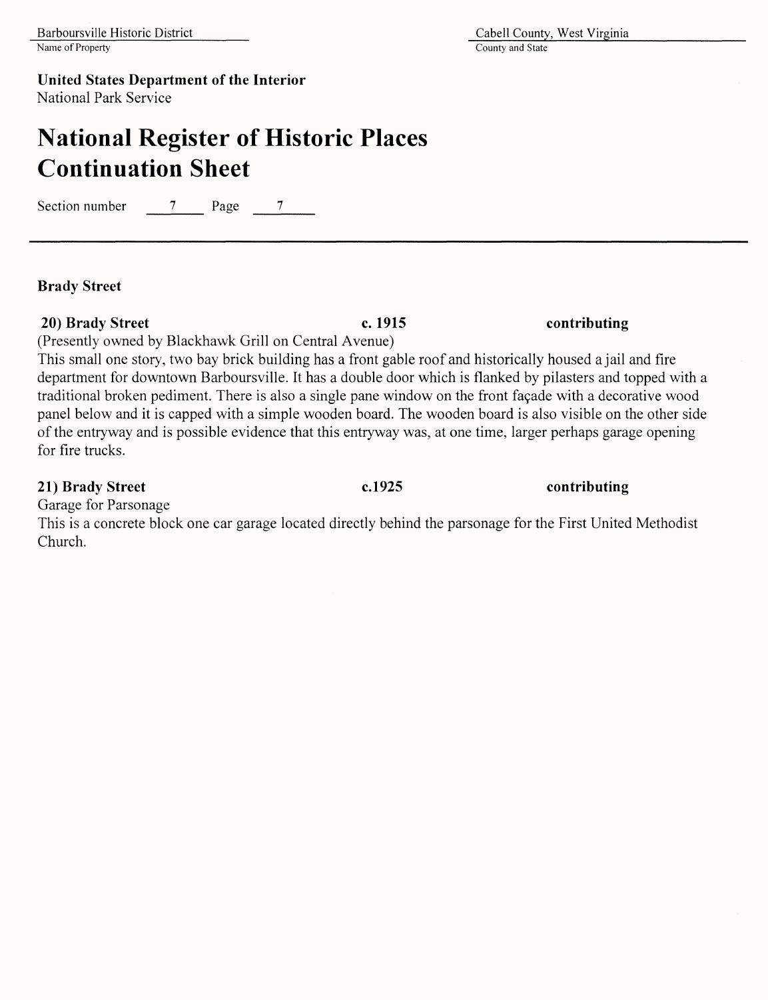## **United States Department of the Interior**

National Park Service

## **National Register of Historic Places Continuation Sheet**

Section number  $\frac{7}{2}$  Page  $\frac{7}{2}$ 

### **Brady Street**

### **20) Brady Street c. 1915 contributing**

(Presently owned by Blackhawk Grill on Central Avenue)

This small one story, two bay brick building has a front gable roof and historically housed a jail and fire department for downtown Barboursville. It has a double door which is flanked by pilasters and topped with a traditional broken pediment. There is also a single pane window on the front façade with a decorative wood panel below and it is capped with a simple wooden board. The wooden board is also visible on the other side of the entryway and is possible evidence that this entryway was, at one time, larger perhaps garage opening for fire trucks.

### **21) Brady Street c.1925 contributing**

Garage for Parsonage

This is a concrete block one car garage located directly behind the parsonage for the First United Methodist Church.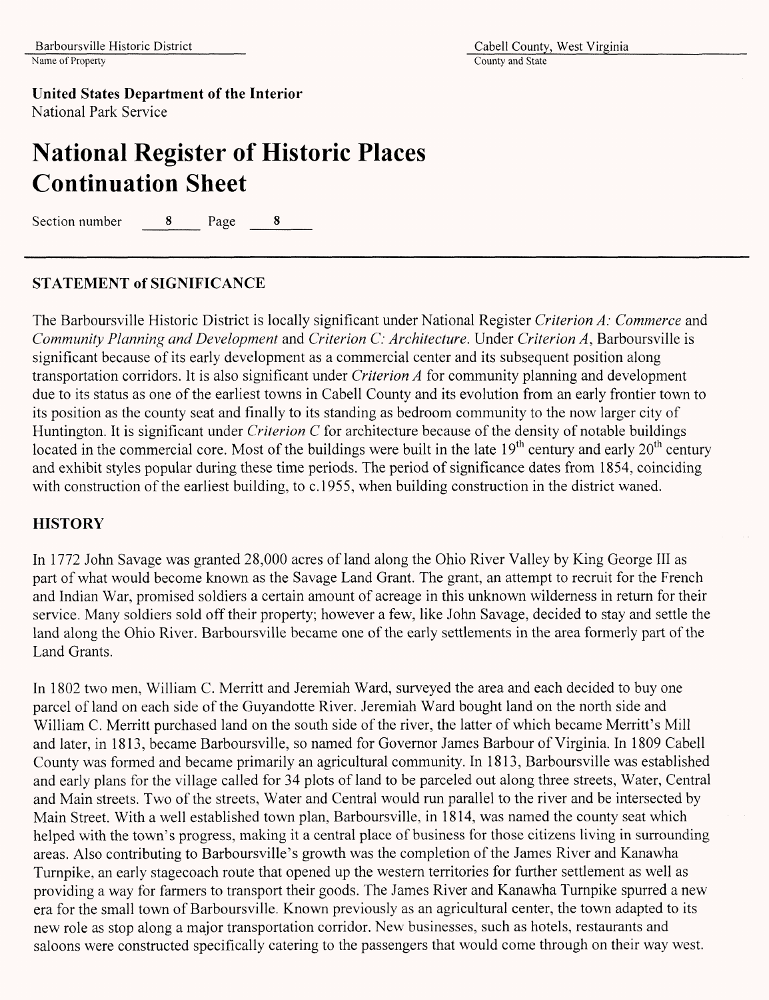# **National Register of Historic Places Continuation Sheet**

Section number 8 Page 8

### STATEMENT **of SIGNIFICANCE**

The Barboursville Historic District is locally significant under National Register *Criterion A: Commerce* and *Community Planning and Development* and *Criterion C: Architecture.* Under *Criterion A,* Barboursville is significant because of its early development as a commercial center and its subsequent position along transportation corridors. It is also significant under *Criterion A* for community planning and development due to its status as one of the earliest towns in Cabell County and its evolution from an early frontier town to its position as the county seat and finally to its standing as bedroom community to the now larger city of Huntington. It is significant under *Criterion C* for architecture because of the density of notable buildings located in the commercial core. Most of the buildings were built in the late  $19<sup>th</sup>$  century and early  $20<sup>th</sup>$  century and exhibit styles popular during these time periods. The period of significance dates from 1854, coinciding with construction of the earliest building, to c.1955, when building construction in the district waned.

### **HISTORY**

In 1772 John Savage was granted 28,000 acres of land along the Ohio River Valley by King George III as part of what would become known as the Savage Land Grant. The grant, an attempt to recruit for the French and Indian War, promised soldiers a certain amount of acreage in this unknown wilderness in return for their service. Many soldiers sold off their property; however a few, like John Savage, decided to stay and settle the land along the Ohio River. Barboursville became one of the early settlements in the area formerly part of the Land Grants.

In 1802 two men, William C. Merritt and Jeremiah Ward, surveyed the area and each decided to buy one parcel of land on each side of the Guyandotte River. Jeremiah Ward bought land on the north side and William C. Merritt purchased land on the south side of the river, the latter of which became Merritt's Mill and later, in 1813, became Barboursville, so named for Governor James Barbour of Virginia. In 1809 Cabell County was formed and became primarily an agricultural community. In 1813, Barboursville was established and early plans for the village called for 34 plots of land to be parceled out along three streets, Water, Central and Main streets. Two of the streets, Water and Central would run parallel to the river and be intersected by Main Street. With a well established town plan, Barboursville, in 1814, was named the county seat which helped with the town's progress, making it a central place of business for those citizens living in surrounding areas. Also contributing to Barboursville's growth was the completion of the James River and Kanawha Turnpike, an early stagecoach route that opened up the western territories for further settlement as well as providing a way for farmers to transport their goods. The James River and Kanawha Turnpike spurred a new era for the small town of Barboursville. Known previously as an agricultural center, the town adapted to its new role as stop along a major transportation corridor. New businesses, such as hotels, restaurants and saloons were constructed specifically catering to the passengers that would come through on their way west.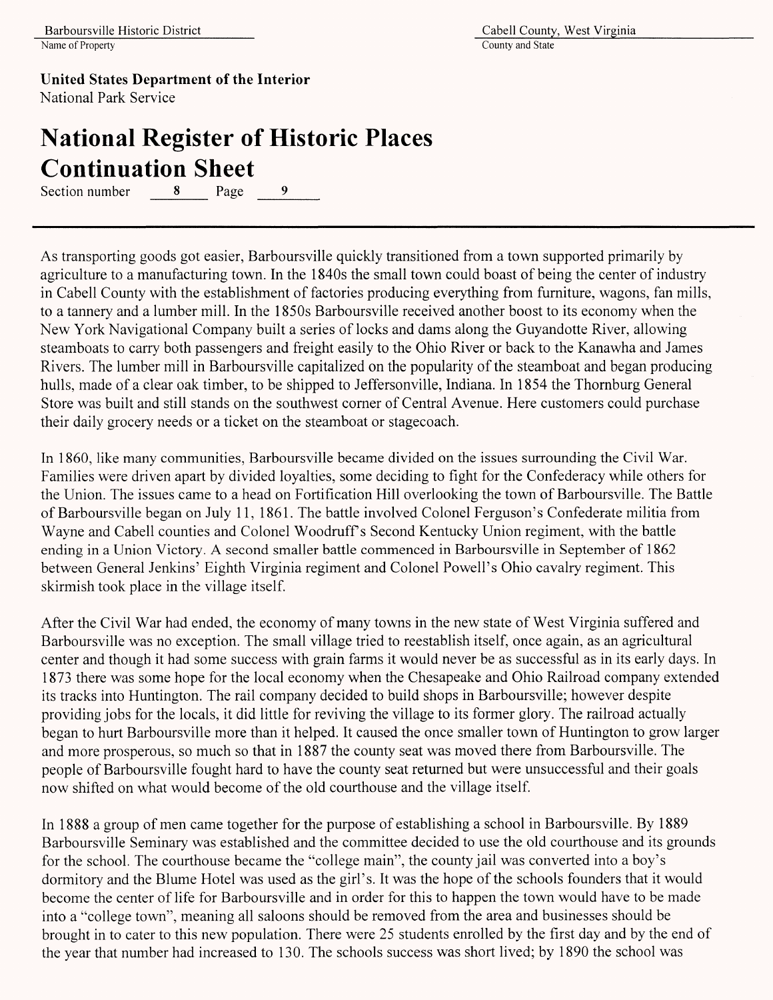# **National Register of Historic Places Continuation Sheet**<br>Section number 8 Page

Section number 8 Page 9

As transporting goods got easier, Barboursville quickly transitioned from a town supported primarily by agriculture to a manufacturing town. In the 1840s the small town could boast of being the center of industry in Cabell County with the establishment of factories producing everything from furniture, wagons, fan mills, to a tannery and a lumber mill. In the 1850s Barboursville received another boost to its economy when the New York Navigational Company built a series of locks and dams along the Guyandotte River, allowing steamboats to carry both passengers and freight easily to the Ohio River or back to the Kanawha and James Rivers. The lumber mill in Barboursville capitalized on the popularity of the steamboat and began producing hulls, made of a clear oak timber, to be shipped to Jeffersonville, Indiana. In 1854 the Thornburg General Store was built and still stands on the southwest corner of Central Avenue. Here customers could purchase their daily grocery needs or a ticket on the steamboat or stagecoach.

In 1860, like many communities, Barboursville became divided on the issues surrounding the Civil War. Families were driven apart by divided loyalties, some deciding to fight for the Confederacy while others for the Union. The issues came to a head on Fortification Hill overlooking the town of Barboursville. The Battle of Barboursville began on July 11, 1861. The battle involved Colonel Ferguson's Confederate militia from Wayne and Cabell counties and Colonel Woodruff's Second Kentucky Union regiment, with the battle ending in a Union Victory. A second smaller battle commenced in Barboursville in September of 1862 between General Jenkins' Eighth Virginia regiment and Colonel Powell's Ohio cavalry regiment. This skirmish took place in the village itself.

After the Civil War had ended, the economy of many towns in the new state of West Virginia suffered and Barboursville was no exception. The small village tried to reestablish itself, once again, as an agricultural center and though it had some success with grain farms it would never be as successful as in its early days. In 1873 there was some hope for the local economy when the Chesapeake and Ohio Railroad company extended its tracks into Huntington. The rail company decided to build shops in Barboursville; however despite providing jobs for the locals, it did little for reviving the village to its former glory. The railroad actually began to hurt Barboursville more than it helped. It caused the once smaller town of Huntington to grow larger and more prosperous, so much so that in 1887 the county seat was moved there from Barboursville. The people of Barboursville fought hard to have the county seat returned but were unsuccessful and their goals now shifted on what would become of the old courthouse and the village itself.

In 1888 a group of men came together for the purpose of establishing a school in Barboursville. By 1889 Barboursville Seminary was established and the committee decided to use the old courthouse and its grounds for the school. The courthouse became the "college main", the county jail was converted into a boy's dormitory and the Blume Hotel was used as the girl's. It was the hope of the schools founders that it would become the center of life for Barboursville and in order for this to happen the town would have to be made into a "college town", meaning all saloons should be removed from the area and businesses should be brought in to cater to this new population. There were 25 students enrolled by the first day and by the end of the year that number had increased to 130. The schools success was short lived; by 1890 the school was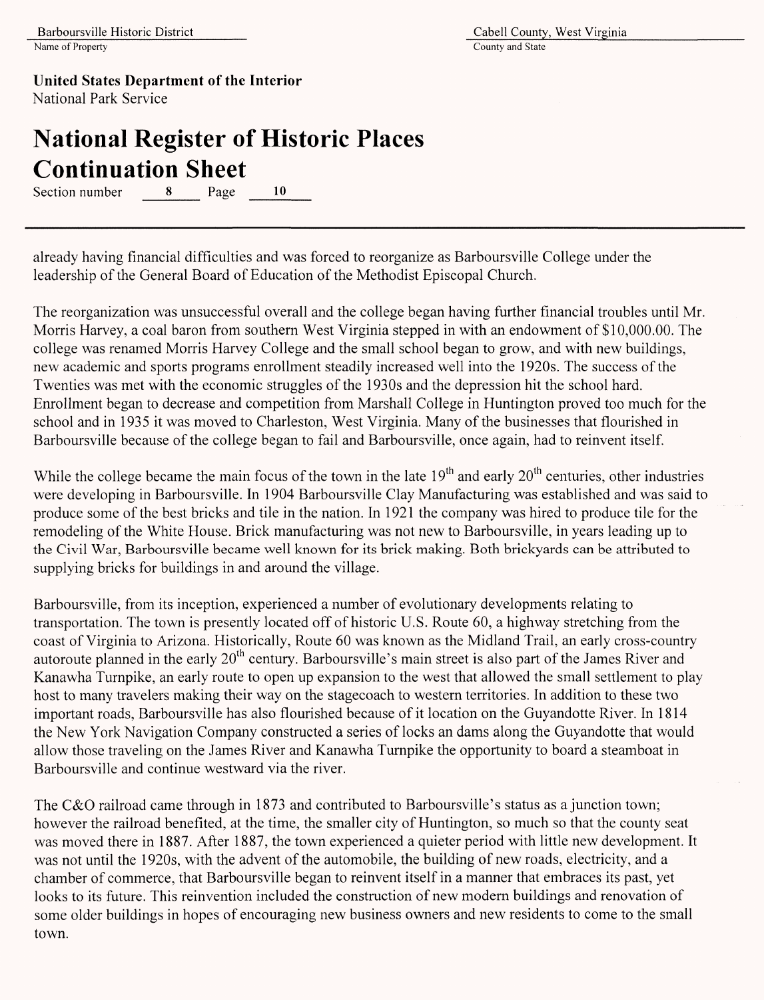**United States Department of the Interior**

National Park Service

# **National Register of Historic Places Continuation Sheet**

Section number 8 Page 10

already having financial difficulties and was forced to reorganize as Barboursville College under the leadership of the General Board of Education of the Methodist Episcopal Church.

The reorganization was unsuccessful overall and the college began having further financial troubles until Mr. Morris Harvey, a coal baron from southern West Virginia stepped in with an endowment of \$10,000.00. The college was renamed Morris Harvey College and the small school began to grow, and with new buildings, new academic and sports programs enrollment steadily increased well into the 1920s. The success of the Twenties was met with the economic struggles of the 1930s and the depression hit the school hard. Enrollment began to decrease and competition from Marshall College in Huntington proved too much for the school and in 1935 it was moved to Charleston, West Virginia. Many of the businesses that flourished in Barboursville because of the college began to fail and Barboursville, once again, had to reinvent itself.

While the college became the main focus of the town in the late  $19<sup>th</sup>$  and early  $20<sup>th</sup>$  centuries, other industries were developing in Barboursville. In 1904 Barboursville Clay Manufacturing was established and was said to produce some of the best bricks and tile in the nation. In 1921 the company was hired to produce tile for the remodeling of the White House. Brick manufacturing was not new to Barboursville, in years leading up to the Civil War, Barboursville became well known for its brick making. Both brickyards can be attributed to supplying bricks for buildings in and around the village.

Barboursville, from its inception, experienced a number of evolutionary developments relating to transportation. The town is presently located off of historic U.S. Route 60, a highway stretching from the coast of Virginia to Arizona. Historically, Route 60 was known as the Midland Trail, an early cross-country autoroute planned in the early 20<sup>th</sup> century. Barboursville's main street is also part of the James River and Kanawha Turnpike, an early route to open up expansion to the west that allowed the small settlement to play host to many travelers making their way on the stagecoach to western territories. In addition to these two important roads, Barboursville has also flourished because of it location on the Guyandotte River. In 1814 the New York Navigation Company constructed a series of locks an dams along the Guyandotte that would allow those traveling on the James River and Kanawha Turnpike the opportunity to board a steamboat in Barboursville and continue westward via the river.

The C&O railroad came through in 1873 and contributed to Barboursville's status as a junction town; however the railroad benefited, at the time, the smaller city of Huntington, so much so that the county seat was moved there in 1887. After 1887, the town experienced a quieter period with little new development. It was not until the 1920s, with the advent of the automobile, the building of new roads, electricity, and a chamber of commerce, that Barboursville began to reinvent itself in a manner that embraces its past, yet looks to its future. This reinvention included the construction of new modem buildings and renovation of some older buildings in hopes of encouraging new business owners and new residents to come to the small town.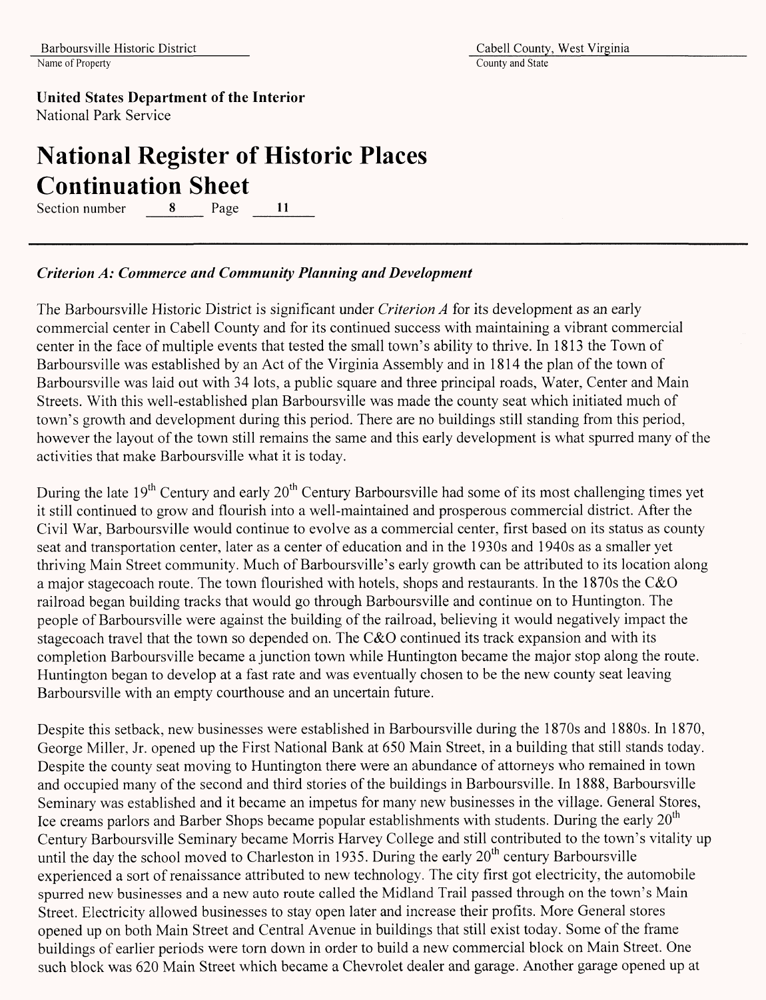## **National Register of Historic Places Continuation Sheet**

Section number 8 Page 11

### *Criterion A: Commerce and Community Planning and Development*

The Barboursville Historic District is significant under *Criterion A* for its development as an early commercial center in Cabell County and for its continued success with maintaining a vibrant commercial center in the face of multiple events that tested the small town's ability to thrive. In 1813 the Town of Barboursville was established by an Act of the Virginia Assembly and in 1814 the plan of the town of Barboursville was laid out with 34 lots, a public square and three principal roads, Water, Center and Main Streets. With this well-established plan Barboursville was made the county seat which initiated much of town's growth and development during this period. There are no buildings still standing from this period, however the layout of the town still remains the same and this early development is what spurred many of the activities that make Barboursville what it is today.

During the late 19<sup>th</sup> Century and early 20<sup>th</sup> Century Barboursville had some of its most challenging times yet it still continued to grow and flourish into a well-maintained and prosperous commercial district. After the Civil War, Barboursville would continue to evolve as a commercial center, first based on its status as county seat and transportation center, later as a center of education and in the 1930s and 1940s as a smaller yet thriving Main Street community. Much of Barboursville's early growth can be attributed to its location along a major stagecoach route. The town flourished with hotels, shops and restaurants. In the 1870s the C&O railroad began building tracks that would go through Barboursville and continue on to Huntington. The people of Barboursville were against the building of the railroad, believing it would negatively impact the stagecoach travel that the town so depended on. The C&O continued its track expansion and with its completion Barboursville became a junction town while Huntington became the major stop along the route. Huntington began to develop at a fast rate and was eventually chosen to be the new county seat leaving Barboursville with an empty courthouse and an uncertain future.

Despite this setback, new businesses were established in Barboursville during the 1870s and 1880s. In 1870, George Miller, Jr. opened up the First National Bank at 650 Main Street, in a building that still stands today. Despite the county seat moving to Huntington there were an abundance of attorneys who remained in town and occupied many of the second and third stories of the buildings in Barboursville. In 1888, Barboursville Seminary was established and it became an impetus for many new businesses in the village. General Stores, Ice creams parlors and Barber Shops became popular establishments with students. During the early  $20<sup>th</sup>$ Century Barboursville Seminary became Morris Harvey College and still contributed to the town's vitality up until the day the school moved to Charleston in 1935. During the early  $20<sup>th</sup>$  century Barboursville experienced a sort of renaissance attributed to new technology. The city first got electricity, the automobile spurred new businesses and a new auto route called the Midland Trail passed through on the town's Main Street. Electricity allowed businesses to stay open later and increase their profits. More General stores opened up on both Main Street and Central Avenue in buildings that still exist today. Some of the frame buildings of earlier periods were torn down in order to build a new commercial block on Main Street. One such block was 620 Main Street which became a Chevrolet dealer and garage. Another garage opened up at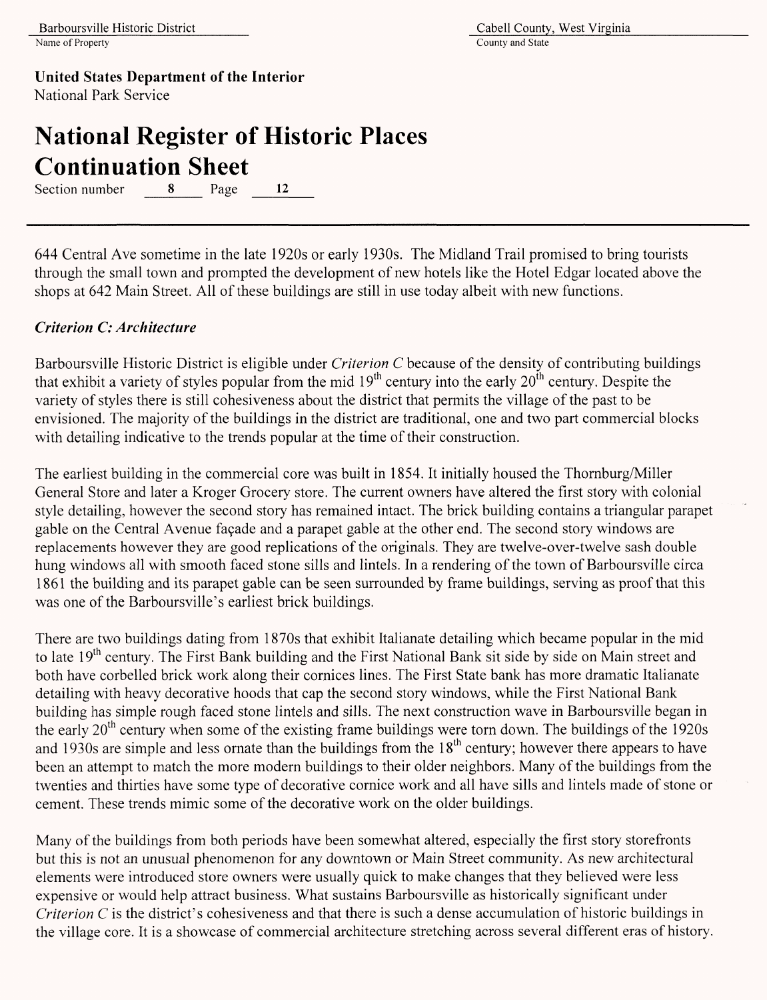# **National Register of Historic Places Continuation Sheet**

Section number 8 Page 12

644 Central Ave sometime in the late 1920s or early 1930s. The Midland Trail promised to bring tourists through the small town and prompted the development of new hotels like the Hotel Edgar located above the shops at 642 Main Street. All of these buildings are still in use today albeit with new functions.

### *Criterion C: Architecture*

Barboursville Historic District is eligible under *Criterion C* because of the density of contributing buildings that exhibit a variety of styles popular from the mid  $19<sup>th</sup>$  century into the early  $20<sup>th</sup>$  century. Despite the variety of styles there is still cohesiveness about the district that permits the village of the past to be envisioned. The majority of the buildings in the district are traditional, one and two part commercial blocks with detailing indicative to the trends popular at the time of their construction.

The earliest building in the commercial core was built in 1854. It initially housed the Thornburg/Miller General Store and later a Kroger Grocery store. The current owners have altered the first story with colonial style detailing, however the second story has remained intact. The brick building contains a triangular parapet gable on the Central Avenue façade and a parapet gable at the other end. The second story windows are replacements however they are good replications of the originals. They are twelve-over-twelve sash double hung windows all with smooth faced stone sills and lintels. In a rendering of the town of Barboursville circa 1861 the building and its parapet gable can be seen surrounded by frame buildings, serving as proof that this was one of the Barboursville's earliest brick buildings.

There are two buildings dating from 1870s that exhibit Italianate detailing which became popular in the mid to late 19<sup>th</sup> century. The First Bank building and the First National Bank sit side by side on Main street and both have corbelled brick work along their cornices lines. The First State bank has more dramatic Italianate detailing with heavy decorative hoods that cap the second story windows, while the First National Bank building has simple rough faced stone lintels and sills. The next construction wave in Barboursville began in the early 20th century when some of the existing frame buildings were torn down. The buildings of the 1920s and 1930s are simple and less ornate than the buildings from the  $18<sup>th</sup>$  century; however there appears to have been an attempt to match the more modern buildings to their older neighbors. Many of the buildings from the twenties and thirties have some type of decorative cornice work and all have sills and lintels made of stone or cement. These trends mimic some of the decorative work on the older buildings.

Many of the buildings from both periods have been somewhat altered, especially the first story storefronts but this is not an unusual phenomenon for any downtown or Main Street community. As new architectural elements were introduced store owners were usually quick to make changes that they believed were less expensive or would help attract business. What sustains Barboursville as historically significant under *Criterion C* is the district's cohesiveness and that there is such a dense accumulation of historic buildings in the village core. It is a showcase of commercial architecture stretching across several different eras of history.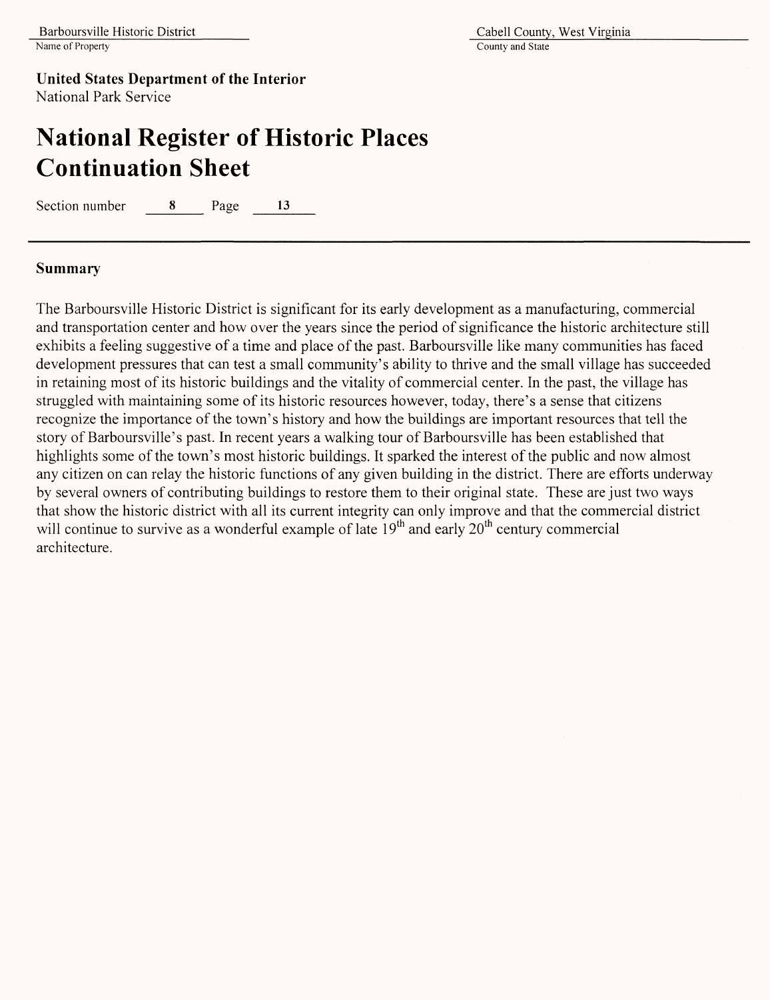## **National Register of Historic Places Continuation Sheet**

Section number 8 Page 13

### **Summary**

The Barboursville Historic District is significant for its early development as a manufacturing, commercial and transportation center and how over the years since the period of significance the historic architecture still exhibits a feeling suggestive of a time and place of the past. Barboursville like many communities has faced development pressures that can test a small community's ability to thrive and the small village has succeeded in retaining most of its historic buildings and the vitality of commercial center. In the past, the village has struggled with maintaining some of its historic resources however, today, there's a sense that citizens recognize the importance of the town's history and how the buildings are important resources that tell the story of Barboursville's past. In recent years a walking tour of Barboursville has been established that highlights some of the town's most historic buildings. It sparked the interest of the public and now almost any citizen on can relay the historic functions of any given building in the district. There are efforts underway by several owners of contributing buildings to restore them to their original state. These are just two ways that show the historic district with all its current integrity can only improve and that the commercial district will continue to survive as a wonderful example of late  $19<sup>th</sup>$  and early  $20<sup>th</sup>$  century commercial architecture.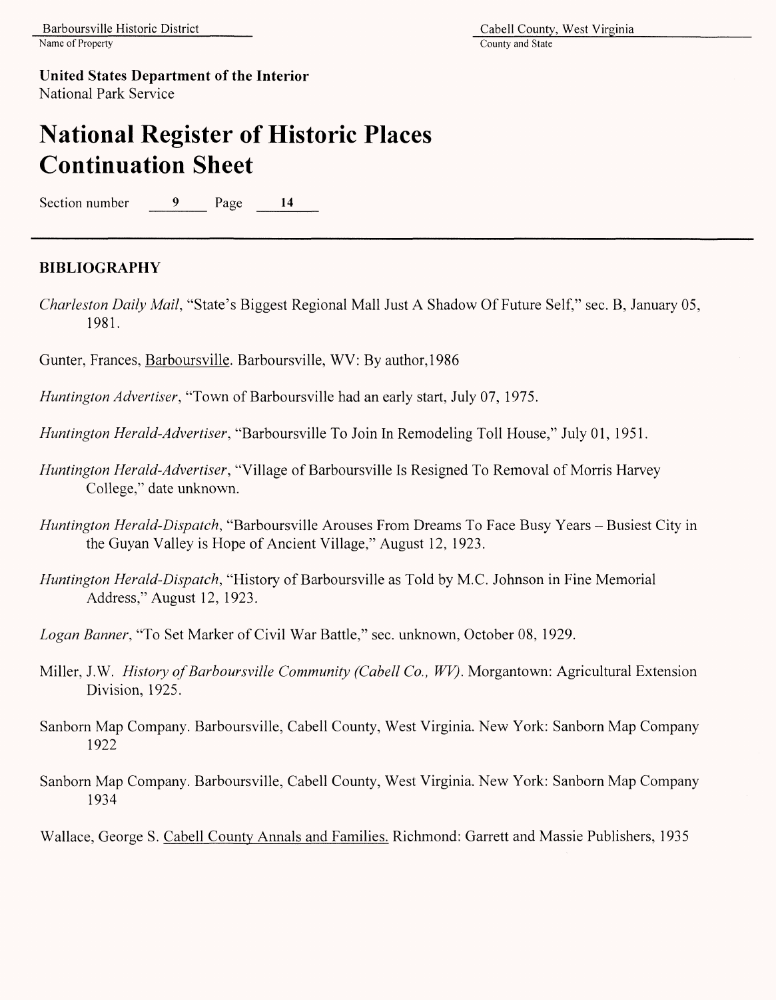## **National Register of Historic Places Continuation Sheet**

Section number 9 Page 14

### **BIBLIOGRAPHY**

*Charleston Daily Mail,* "State's Biggest Regional Mall Just A Shadow Of Future Self," sec. B, January 05, 1981.

Gunter, Frances, Barboursville. Barboursville, WV: By author, 1986

*Huntington Advertiser,* "Town of Barboursville had an early start, July 07, 1975.

*Huntington Herald-Advertiser,* "Barboursville To Join In Remodeling Toll House," July 01, 1951.

- *Huntington Herald-Advertiser,* "Village of Barboursville Is Resigned To Removal of Morris Harvey College," date unknown.
- *Huntington Herald-Dispatch,* "Barboursville Arouses From Dreams To Face Busy Years Busiest City in the Guyan Valley is Hope of Ancient Village," August 12, 1923.
- *Huntington Herald-Dispatch,* "History of Barboursville as Told by M.C. Johnson in Fine Memorial Address," August 12, 1923.
- *Logan Banner,* "To Set Marker of Civil War Battle," sec. unknown, October 08, 1929.
- Miller, J.W. *History of Barboursville Community (Cabell Co., WV).* Morgantown: Agricultural Extension Division, 1925.
- Sanborn Map Company. Barboursville, Cabell County, West Virginia. New York: Sanborn Map Company 1922
- Sanborn Map Company. Barboursville, Cabell County, West Virginia. New York: Sanborn Map Company 1934

Wallace, George S. Cabell County Annals and Families. Richmond: Garrett and Massie Publishers, 1935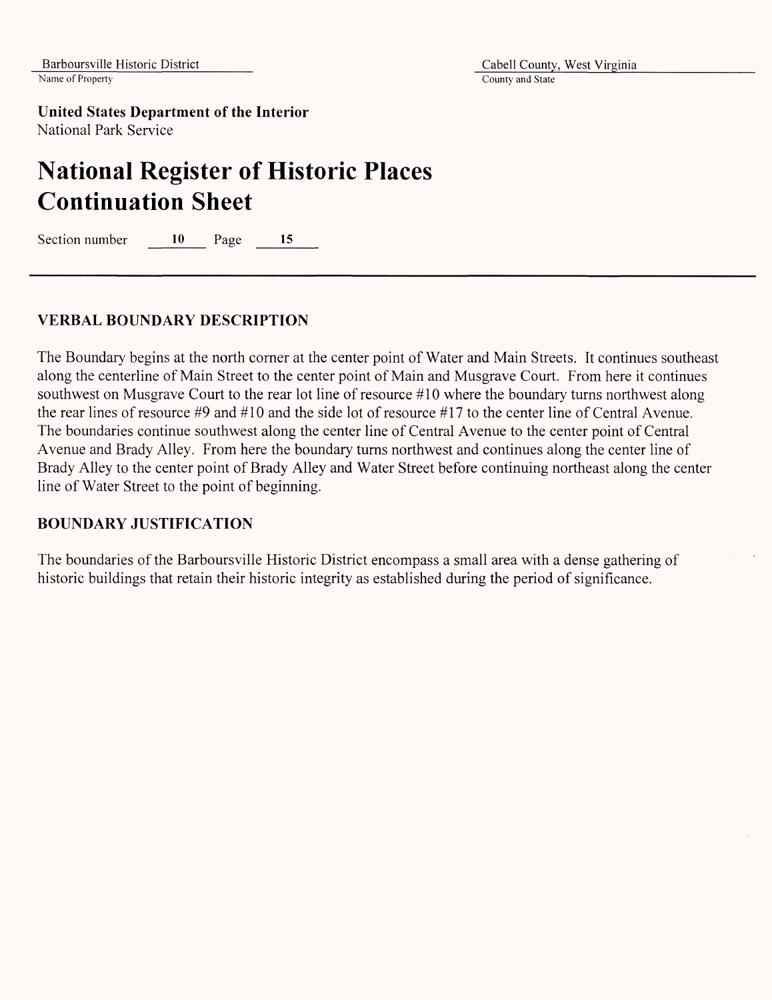Barboursville Historic District<br>Name of Property<br>County and State<br>County and State

County and State

**United States Department of the Interior** National Park Service

## **National Register of Historic Places Continuation Sheet**

Section number 10 Page 15

### **VERBAL BOUNDARY DESCRIPTION**

The Boundary begins at the north corner at the center point of Water and Main Streets. It continues southeast along the centerline of Main Street to the center point of Main and Musgrave Court. From here it continues southwest on Musgrave Court to the rear lot line of resource *#10* where the boundary turns northwest along the rear lines of resource *#9* and #10 and the side lot of resource *#11* to the center line of Central Avenue. The boundaries continue southwest along the center line of Central Avenue to the center point of Central Avenue and Brady Alley. From here the boundary turns northwest and continues along the center line of Brady Alley to the center point of Brady Alley and Water Street before continuing northeast along the center line of Water Street to the point of beginning.

### **BOUNDARY JUSTIFICATION**

The boundaries of the Barboursville Historic District encompass a small area with a dense gathering of historic buildings that retain their historic integrity as established during the period of significance.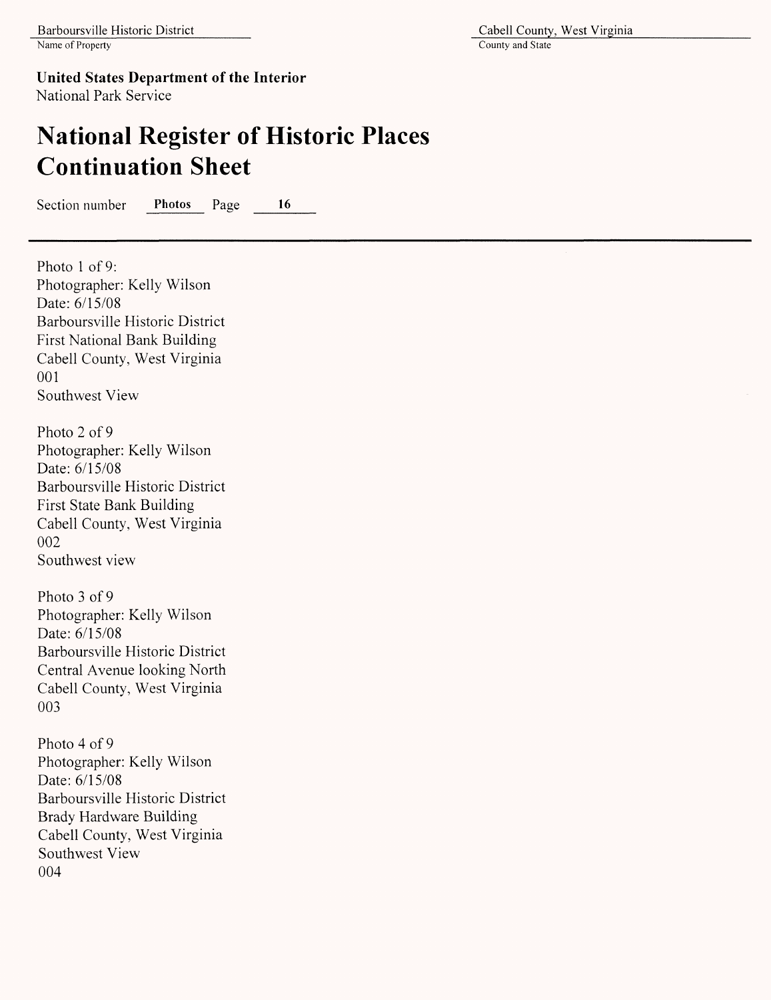Photo 1 of 9:

**United States Department of the Interior** National Park Service

## **National Register of Historic Places Continuation Sheet**

Section number Photos Page 16

Photographer: Kelly Wilson Date: 6/15/08 Barboursville Historic District First National Bank Building Cabell County, West Virginia 001 Southwest View Photo 2 of 9 Photographer: Kelly Wilson Date: 6/15/08 Barboursville Historic District First State Bank Building Cabell County, West Virginia 002 Southwest view Photo 3 of 9 Photographer: Kelly Wilson Date: 6/15/08 Barboursville Historic District Central Avenue looking North Cabell County, West Virginia 003 Photo 4 of 9

Photographer: Kelly Wilson Date: 6/15/08 Barboursville Historic District Brady Hardware Building Cabell County, West Virginia Southwest View 004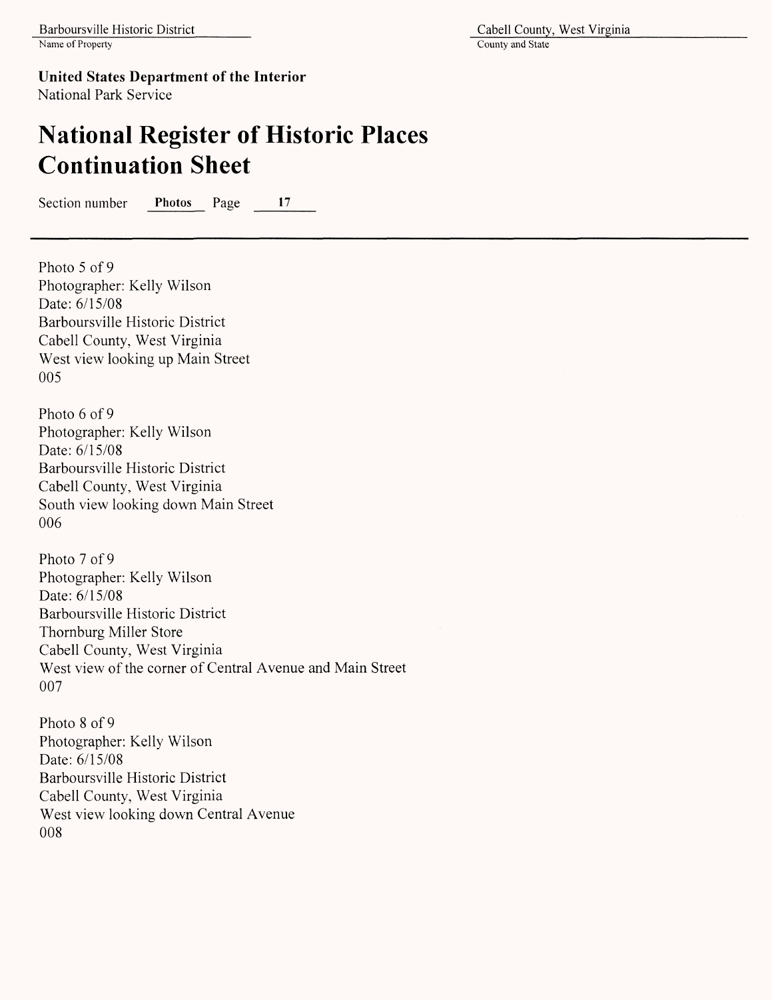## **National Register of Historic Places Continuation Sheet**

Section number **Photos** Page 17

Photo 5 of 9 Photographer: Kelly Wilson Date: 6/15/08 Barboursville Historic District Cabell County, West Virginia West view looking up Main Street 005

Photo 6 of 9 Photographer: Kelly Wilson Date: 6/15/08 Barboursville Historic District Cabell County, West Virginia South view looking down Main Street 006

Photo 7 of 9 Photographer: Kelly Wilson Date: 6/15/08 Barboursville Historic District Thornburg Miller Store Cabell County, West Virginia West view of the corner of Central Avenue and Main Street 007

Photo 8 of 9 Photographer: Kelly Wilson Date: 6/15/08 Barboursville Historic District Cabell County, West Virginia West view looking down Central Avenue 008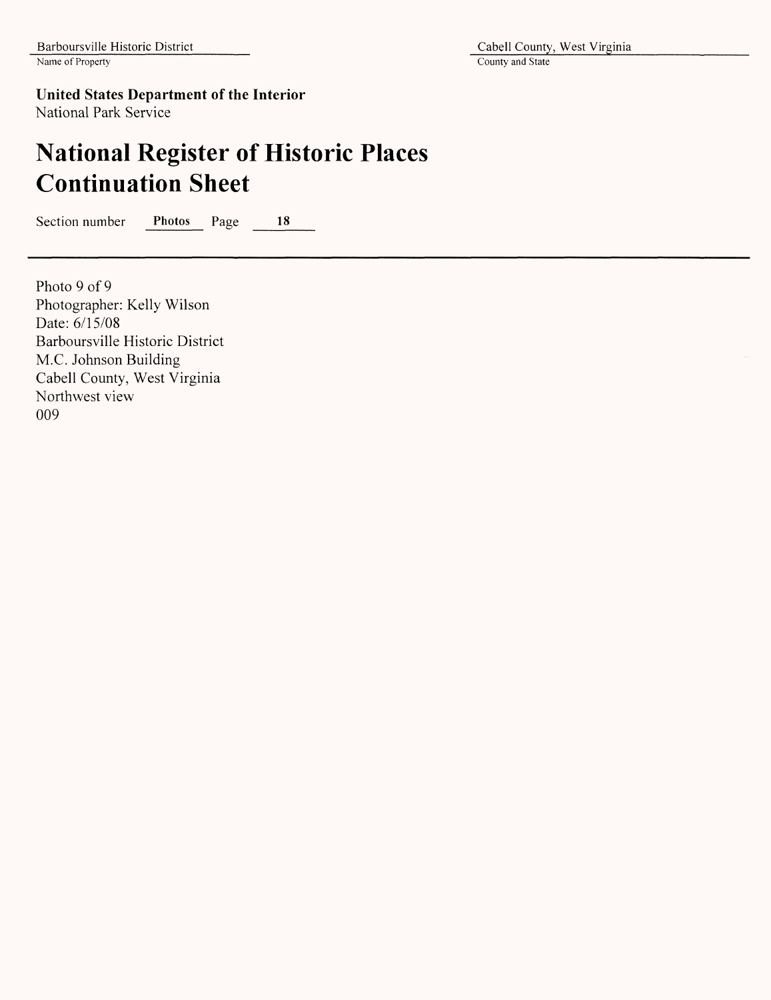### **United States Department of the Interior**

National Park Service

# **National Register of Historic Places Continuation Sheet**

Section number Photos Page 18

Photo 9 of 9 Photographer: Kelly Wilson Date: 6/15/08 Barboursville Historic District M.C. Johnson Building Cabell County, West Virginia Northwest view 009